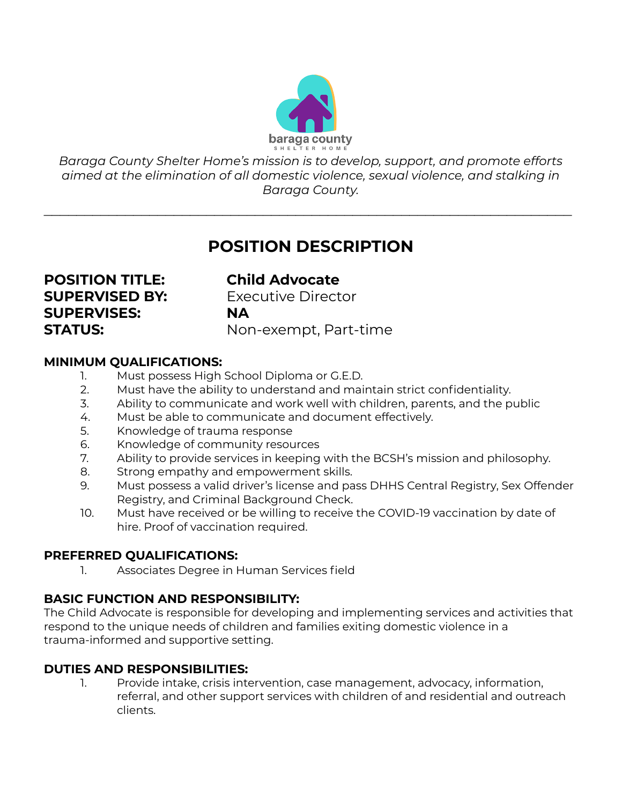

*Baraga County Shelter Home's mission is to develop, support, and promote efforts aimed at the elimination of all domestic violence, sexual violence, and stalking in Baraga County.*

 $\mathcal{L}_\text{max}$  , and the contract of the contract of the contract of the contract of the contract of the contract of the contract of the contract of the contract of the contract of the contract of the contract of the contr

# **POSITION DESCRIPTION**

**POSITION TITLE: Child Advocate SUPERVISES: NA**

**SUPERVISED BY:** Executive Director **STATUS:** Non-exempt, Part-time

### **MINIMUM QUALIFICATIONS:**

- 1. Must possess High School Diploma or G.E.D.
- 2. Must have the ability to understand and maintain strict confidentiality.
- 3. Ability to communicate and work well with children, parents, and the public
- 4. Must be able to communicate and document effectively.
- 5. Knowledge of trauma response
- 6. Knowledge of community resources
- 7. Ability to provide services in keeping with the BCSH's mission and philosophy.
- 8. Strong empathy and empowerment skills.
- 9. Must possess a valid driver's license and pass DHHS Central Registry, Sex Offender Registry, and Criminal Background Check.
- 10. Must have received or be willing to receive the COVID-19 vaccination by date of hire. Proof of vaccination required.

## **PREFERRED QUALIFICATIONS:**

1. Associates Degree in Human Services field

## **BASIC FUNCTION AND RESPONSIBILITY:**

The Child Advocate is responsible for developing and implementing services and activities that respond to the unique needs of children and families exiting domestic violence in a trauma-informed and supportive setting.

## **DUTIES AND RESPONSIBILITIES:**

1. Provide intake, crisis intervention, case management, advocacy, information, referral, and other support services with children of and residential and outreach clients.